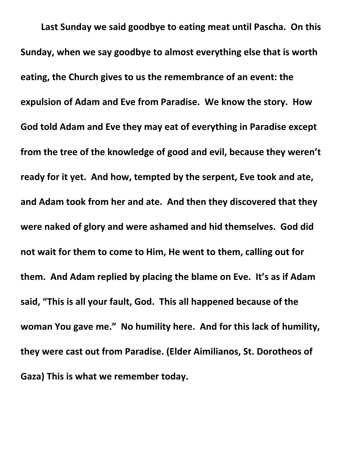**Last Sunday we said goodbye to eating meat until Pascha. On this Sunday, when we say goodbye to almost everything else that is worth eating, the Church gives to us the remembrance of an event: the expulsion of Adam and Eve from Paradise. We know the story. How God told Adam and Eve they may eat of everything in Paradise except from the tree of the knowledge of good and evil, because they weren't ready for it yet. And how, tempted by the serpent, Eve took and ate, and Adam took from her and ate. And then they discovered that they were naked of glory and were ashamed and hid themselves. God did not wait for them to come to Him, He went to them, calling out for them. And Adam replied by placing the blame on Eve. It's as if Adam said, "This is all your fault, God. This all happened because of the woman You gave me." No humility here. And for this lack of humility, they were cast out from Paradise. (Elder Aimilianos, St. Dorotheos of Gaza) This is what we remember today.**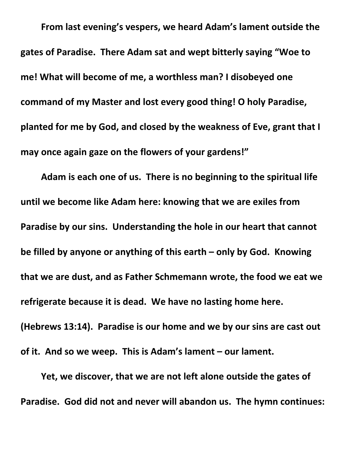**From last evening's vespers, we heard Adam's lament outside the gates of Paradise. There Adam sat and wept bitterly saying "Woe to me! What will become of me, a worthless man? I disobeyed one command of my Master and lost every good thing! O holy Paradise, planted for me by God, and closed by the weakness of Eve, grant that I may once again gaze on the flowers of your gardens!"**

**Adam is each one of us. There is no beginning to the spiritual life until we become like Adam here: knowing that we are exiles from Paradise by our sins. Understanding the hole in our heart that cannot be filled by anyone or anything of this earth – only by God. Knowing that we are dust, and as Father Schmemann wrote, the food we eat we refrigerate because it is dead. We have no lasting home here. (Hebrews 13:14). Paradise is our home and we by our sins are cast out of it. And so we weep. This is Adam's lament – our lament.**

**Yet, we discover, that we are not left alone outside the gates of Paradise. God did not and never will abandon us. The hymn continues:**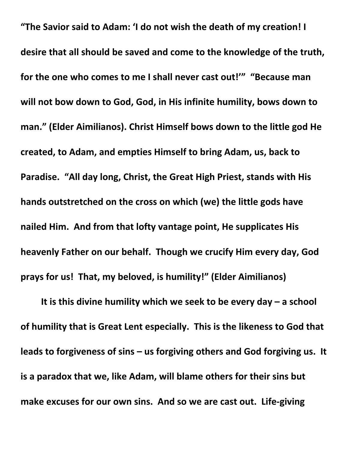**"The Savior said to Adam: 'I do not wish the death of my creation! I desire that all should be saved and come to the knowledge of the truth, for the one who comes to me I shall never cast out!'" "Because man will not bow down to God, God, in His infinite humility, bows down to man." (Elder Aimilianos). Christ Himself bows down to the little god He created, to Adam, and empties Himself to bring Adam, us, back to Paradise. "All day long, Christ, the Great High Priest, stands with His hands outstretched on the cross on which (we) the little gods have nailed Him. And from that lofty vantage point, He supplicates His heavenly Father on our behalf. Though we crucify Him every day, God prays for us! That, my beloved, is humility!" (Elder Aimilianos)**

**It is this divine humility which we seek to be every day – a school of humility that is Great Lent especially. This is the likeness to God that leads to forgiveness of sins – us forgiving others and God forgiving us. It is a paradox that we, like Adam, will blame others for their sins but make excuses for our own sins. And so we are cast out. Life-giving**